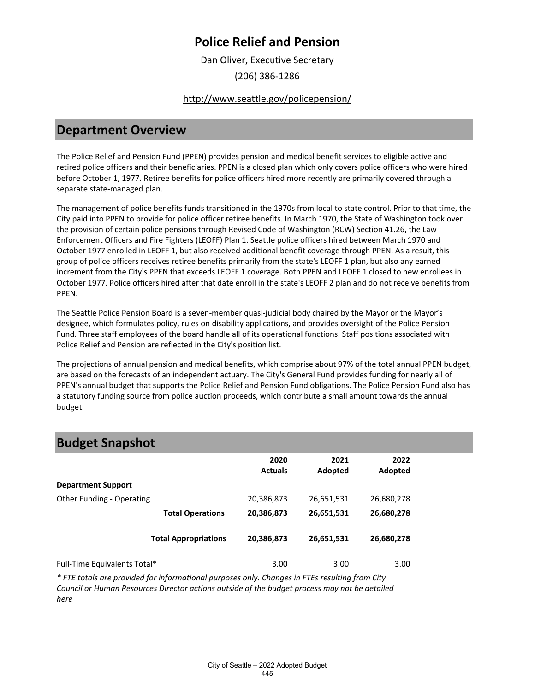Dan Oliver, Executive Secretary

(206) 386-1286

#### <http://www.seattle.gov/policepension/>

#### **Department Overview**

The Police Relief and Pension Fund (PPEN) provides pension and medical benefit services to eligible active and retired police officers and their beneficiaries. PPEN is a closed plan which only covers police officers who were hired before October 1, 1977. Retiree benefits for police officers hired more recently are primarily covered through a separate state-managed plan.

The management of police benefits funds transitioned in the 1970s from local to state control. Prior to that time, the City paid into PPEN to provide for police officer retiree benefits. In March 1970, the State of Washington took over the provision of certain police pensions through Revised Code of Washington (RCW) Section 41.26, the Law Enforcement Officers and Fire Fighters (LEOFF) Plan 1. Seattle police officers hired between March 1970 and October 1977 enrolled in LEOFF 1, but also received additional benefit coverage through PPEN. As a result, this group of police officers receives retiree benefits primarily from the state's LEOFF 1 plan, but also any earned increment from the City's PPEN that exceeds LEOFF 1 coverage. Both PPEN and LEOFF 1 closed to new enrollees in October 1977. Police officers hired after that date enroll in the state's LEOFF 2 plan and do not receive benefits from PPEN.

The Seattle Police Pension Board is a seven-member quasi-judicial body chaired by the Mayor or the Mayor's designee, which formulates policy, rules on disability applications, and provides oversight of the Police Pension Fund. Three staff employees of the board handle all of its operational functions. Staff positions associated with Police Relief and Pension are reflected in the City's position list.

The projections of annual pension and medical benefits, which comprise about 97% of the total annual PPEN budget, are based on the forecasts of an independent actuary. The City's General Fund provides funding for nearly all of PPEN's annual budget that supports the Police Relief and Pension Fund obligations. The Police Pension Fund also has a statutory funding source from police auction proceeds, which contribute a small amount towards the annual budget.

### **Budget Snapshot**

| .                            |                             |                        |                 |                 |  |
|------------------------------|-----------------------------|------------------------|-----------------|-----------------|--|
|                              |                             | 2020<br><b>Actuals</b> | 2021<br>Adopted | 2022<br>Adopted |  |
| <b>Department Support</b>    |                             |                        |                 |                 |  |
| Other Funding - Operating    |                             | 20,386,873             | 26,651,531      | 26,680,278      |  |
|                              | <b>Total Operations</b>     | 20,386,873             | 26,651,531      | 26,680,278      |  |
|                              | <b>Total Appropriations</b> | 20,386,873             | 26,651,531      | 26,680,278      |  |
| Full-Time Equivalents Total* |                             | 3.00                   | 3.00            | 3.00            |  |

*\* FTE totals are provided for informational purposes only. Changes in FTEs resulting from City Council or Human Resources Director actions outside of the budget process may not be detailed here*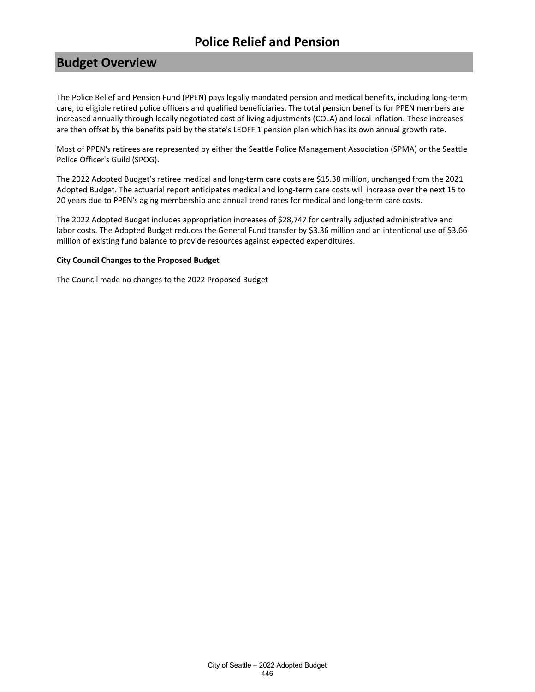# **Budget Overview**

The Police Relief and Pension Fund (PPEN) pays legally mandated pension and medical benefits, including long-term care, to eligible retired police officers and qualified beneficiaries. The total pension benefits for PPEN members are increased annually through locally negotiated cost of living adjustments (COLA) and local inflation. These increases are then offset by the benefits paid by the state's LEOFF 1 pension plan which has its own annual growth rate.

Most of PPEN's retirees are represented by either the Seattle Police Management Association (SPMA) or the Seattle Police Officer's Guild (SPOG).

The 2022 Adopted Budget's retiree medical and long-term care costs are \$15.38 million, unchanged from the 2021 Adopted Budget. The actuarial report anticipates medical and long-term care costs will increase over the next 15 to 20 years due to PPEN's aging membership and annual trend rates for medical and long-term care costs.

The 2022 Adopted Budget includes appropriation increases of \$28,747 for centrally adjusted administrative and labor costs. The Adopted Budget reduces the General Fund transfer by \$3.36 million and an intentional use of \$3.66 million of existing fund balance to provide resources against expected expenditures.

#### **City Council Changes to the Proposed Budget**

The Council made no changes to the 2022 Proposed Budget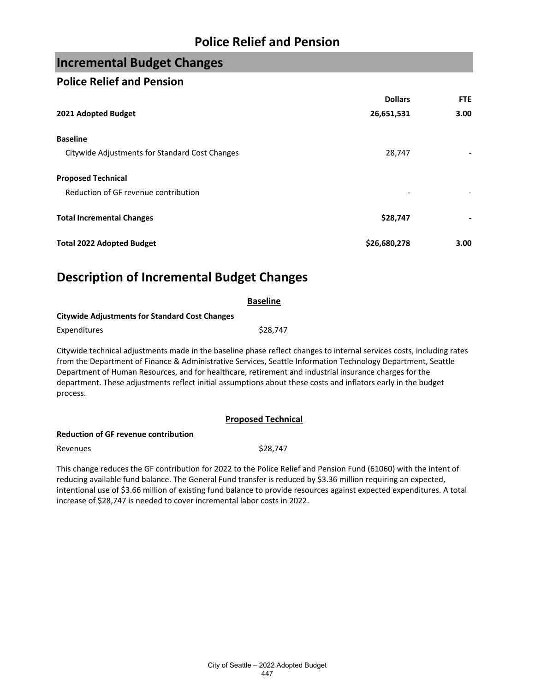## **Incremental Budget Changes**

#### **Police Relief and Pension**

|                                                | <b>Dollars</b> | <b>FTE</b>        |
|------------------------------------------------|----------------|-------------------|
| 2021 Adopted Budget                            | 26,651,531     | 3.00 <sub>1</sub> |
| <b>Baseline</b>                                |                |                   |
| Citywide Adjustments for Standard Cost Changes | 28,747         |                   |
| <b>Proposed Technical</b>                      |                |                   |
| Reduction of GF revenue contribution           |                |                   |
| <b>Total Incremental Changes</b>               | \$28,747       |                   |
| <b>Total 2022 Adopted Budget</b>               | \$26,680,278   | 3.00              |

## **Description of Incremental Budget Changes**

|                                                       | <b>Baseline</b>                                                                                                                                                                                                                                                                                                                                                                                                                                                  |  |
|-------------------------------------------------------|------------------------------------------------------------------------------------------------------------------------------------------------------------------------------------------------------------------------------------------------------------------------------------------------------------------------------------------------------------------------------------------------------------------------------------------------------------------|--|
| <b>Citywide Adjustments for Standard Cost Changes</b> |                                                                                                                                                                                                                                                                                                                                                                                                                                                                  |  |
| Expenditures                                          | \$28,747                                                                                                                                                                                                                                                                                                                                                                                                                                                         |  |
| process.                                              | Citywide technical adjustments made in the baseline phase reflect changes to internal services costs, including rates<br>from the Department of Finance & Administrative Services, Seattle Information Technology Department, Seattle<br>Department of Human Resources, and for healthcare, retirement and industrial insurance charges for the<br>department. These adjustments reflect initial assumptions about these costs and inflators early in the budget |  |

#### **Proposed Technical**

#### **Reduction of GF revenue contribution**

Revenues  $$28,747$ 

This change reduces the GF contribution for 2022 to the Police Relief and Pension Fund (61060) with the intent of reducing available fund balance. The General Fund transfer is reduced by \$3.36 million requiring an expected, intentional use of \$3.66 million of existing fund balance to provide resources against expected expenditures. A total increase of \$28,747 is needed to cover incremental labor costs in 2022.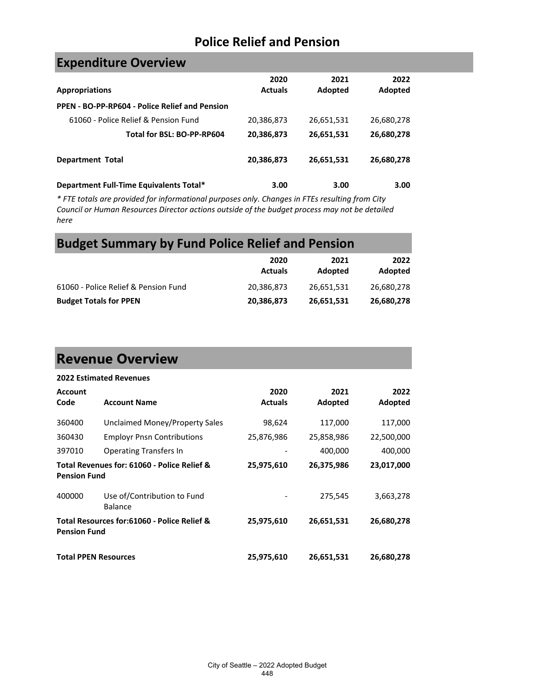## **Expenditure Overview**

| <b>Appropriations</b>                          | 2020<br><b>Actuals</b> | 2021<br>Adopted | 2022<br>Adopted |
|------------------------------------------------|------------------------|-----------------|-----------------|
| PPEN - BO-PP-RP604 - Police Relief and Pension |                        |                 |                 |
| 61060 - Police Relief & Pension Fund           | 20,386,873             | 26,651,531      | 26,680,278      |
| Total for BSL: BO-PP-RP604                     | 20,386,873             | 26,651,531      | 26,680,278      |
| <b>Department Total</b>                        | 20,386,873             | 26,651,531      | 26,680,278      |
| Department Full-Time Equivalents Total*        | 3.00                   | 3.00            | 3.00            |

*\* FTE totals are provided for informational purposes only. Changes in FTEs resulting from City Council or Human Resources Director actions outside of the budget process may not be detailed here*

# **Budget Summary by Fund Police Relief and Pension**

|                                      | 2020<br><b>Actuals</b> | 2021<br>Adopted | 2022<br>Adopted |
|--------------------------------------|------------------------|-----------------|-----------------|
| 61060 - Police Relief & Pension Fund | 20,386,873             | 26.651.531      | 26,680,278      |
| <b>Budget Totals for PPEN</b>        | 20,386,873             | 26,651,531      | 26,680,278      |

# **Revenue Overview**

|                        | <b>2022 Estimated Revenues</b>              |                        |                 |                 |
|------------------------|---------------------------------------------|------------------------|-----------------|-----------------|
| <b>Account</b><br>Code | <b>Account Name</b>                         | 2020<br><b>Actuals</b> | 2021<br>Adopted | 2022<br>Adopted |
| 360400                 | Unclaimed Money/Property Sales              | 98,624                 | 117,000         | 117,000         |
| 360430                 | <b>Employr Pnsn Contributions</b>           | 25,876,986             | 25,858,986      | 22,500,000      |
| 397010                 | <b>Operating Transfers In</b>               |                        | 400,000         | 400,000         |
| <b>Pension Fund</b>    | Total Revenues for: 61060 - Police Relief & | 25,975,610             | 26,375,986      | 23,017,000      |
| 400000                 | Use of/Contribution to Fund<br>Balance      |                        | 275,545         | 3,663,278       |
| <b>Pension Fund</b>    | Total Resources for:61060 - Police Relief & | 25,975,610             | 26,651,531      | 26,680,278      |
|                        | <b>Total PPEN Resources</b>                 | 25,975,610             | 26,651,531      | 26,680,278      |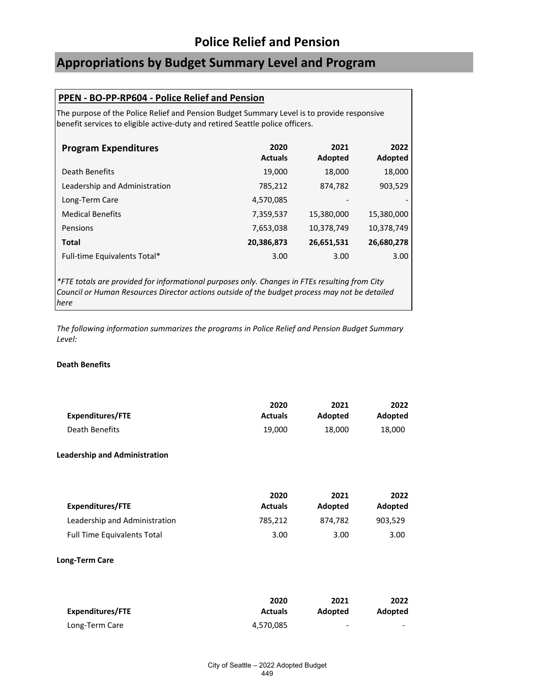### **Appropriations by Budget Summary Level and Program**

#### **PPEN - BO-PP-RP604 - Police Relief and Pension**

The purpose of the Police Relief and Pension Budget Summary Level is to provide responsive benefit services to eligible active-duty and retired Seattle police officers.

| <b>Program Expenditures</b>   | 2020<br><b>Actuals</b> | 2021<br>Adopted          | 2022<br>Adopted |
|-------------------------------|------------------------|--------------------------|-----------------|
| Death Benefits                | 19,000                 | 18,000                   | 18,000          |
| Leadership and Administration | 785,212                | 874,782                  | 903,529         |
| Long-Term Care                | 4,570,085              | $\overline{\phantom{a}}$ |                 |
| <b>Medical Benefits</b>       | 7,359,537              | 15,380,000               | 15,380,000      |
| <b>Pensions</b>               | 7,653,038              | 10,378,749               | 10,378,749      |
| <b>Total</b>                  | 20,386,873             | 26,651,531               | 26,680,278      |
| Full-time Equivalents Total*  | 3.00                   | 3.00                     | 3.00            |

*\*FTE totals are provided for informational purposes only. Changes in FTEs resulting from City Council or Human Resources Director actions outside of the budget process may not be detailed here*

*The following information summarizes the programs in Police Relief and Pension Budget Summary Level:*

#### **Death Benefits**

|                  | 2020           | 2021    | 2022           |
|------------------|----------------|---------|----------------|
| Expenditures/FTE | <b>Actuals</b> | Adopted | <b>Adopted</b> |
| Death Benefits   | 19.000         | 18.000  | 18.000         |

#### **Leadership and Administration**

|                                    | 2020           | 2021    | 2022    |
|------------------------------------|----------------|---------|---------|
| Expenditures/FTE                   | <b>Actuals</b> | Adopted | Adopted |
| Leadership and Administration      | 785.212        | 874.782 | 903.529 |
| <b>Full Time Equivalents Total</b> | 3.00           | 3.00    | 3.00    |

#### **Long-Term Care**

|                  | 2020           | 2021    | 2022                     |
|------------------|----------------|---------|--------------------------|
| Expenditures/FTE | <b>Actuals</b> | Adopted | Adopted                  |
| Long-Term Care   | 4,570,085      | -       | $\overline{\phantom{a}}$ |